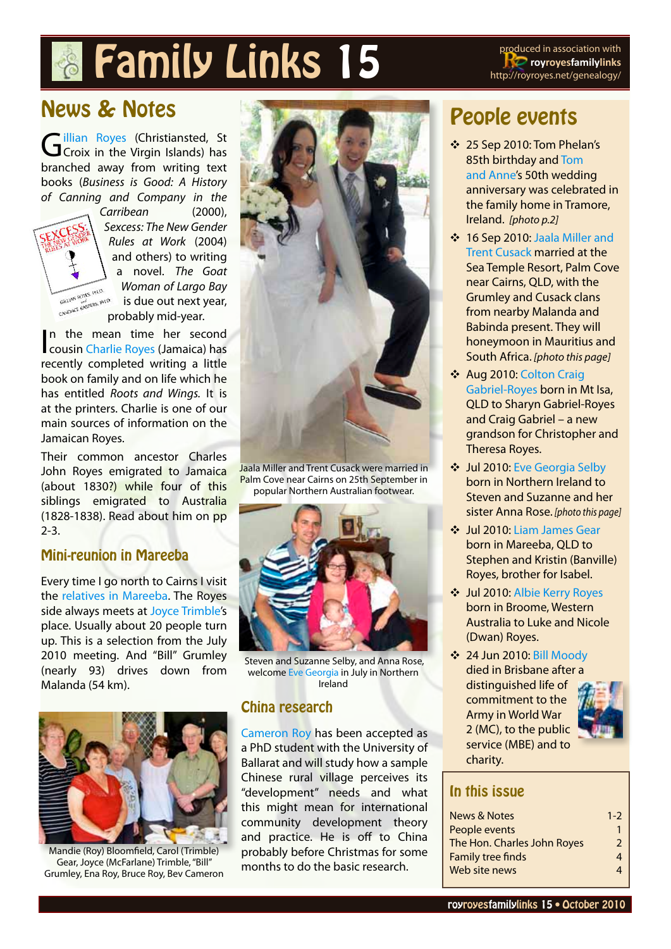# **Family Links 15** produced in association with

**royroyesfamilylinks** http://royroyes.net/genealogy/

## News & Notes

[Gillian Royes](http://royroyes.net/genealogy/getperson.php?personID=I4473&tree=rr_tree) (Christiansted, St.<br>Croix in the Virgin Islands) has branched away from writing text books (*Business is Good: A History of Canning and Company in the* 



*Carribean* (2000), *Sexcess: The New Gender Rules at Work* (2004) and others) to writing a novel. *The Goat Woman of Largo Bay* is due out next year, probably mid-year.

In the mean time her second<br>cousin [Charlie Royes](http://royroyes.net/genealogy/getperson.php?personID=I3876&tree=rr_tree) (Jamaica) has In the mean time her second recently completed writing a little book on family and on life which he has entitled *Roots and Wings.* It is at the printers. Charlie is one of our main sources of information on the Jamaican Royes.

Their common ancestor Charles John Royes emigrated to Jamaica (about 1830?) while four of this siblings emigrated to Australia (1828-1838). Read about him on pp 2-3.

#### Mini-reunion in Mareeba

Every time I go north to Cairns I visit the [relatives in Mareeba.](http://royroyes.net/genealogy/search.php?mybool=OR&nr=50&tree=rr_tree&mybirthplace=Mareeba&bpqualify=contains&mydeathplace=Mareeba&dpqualify=contains) The Royes side always meets at [Joyce Trimble'](http://royroyes.net/genealogy/getperson.php?personID=I662&tree=rr_tree)s place. Usually about 20 people turn up. This is a selection from the July 2010 meeting. And "Bill" Grumley (nearly 93) drives down from Malanda (54 km).



Mandie (Roy) Bloomfield, Carol (Trimble) Gear, Joyce (McFarlane) Trimble, "Bill" Grumley, Ena Roy, Bruce Roy, Bev Cameron



Jaala Miller and Trent Cusack were married in Palm Cove near Cairns on 25th September in popular Northern Australian footwear.



 Steven and Suzanne Selby, and Anna Rose, welcome [Eve Georgia](http://royroyes.net/genealogy/getperson.php?personID=I3561&tree=rr_tree) in July in Northern Ireland

#### China research

[Cameron Roy](http://royroyes.net/genealogy/getperson.php?personID=I823&tree=rr_tree) has been accepted as a PhD student with the University of Ballarat and will study how a sample Chinese rural village perceives its "development" needs and what this might mean for international community development theory and practice. He is off to China probably before Christmas for some months to do the basic research.

## People events

- Y 25 Sep 2010: Tom Phelan's 85th birthday and [Tom](http://royroyes.net/genealogy/familygroup.php?familyID=F124&tree=rr_tree)  [and Anne'](http://royroyes.net/genealogy/familygroup.php?familyID=F124&tree=rr_tree)s 50th wedding anniversary was celebrated in the family home in Tramore, Ireland. *[photo p.2]*
- Y 16 Sep 2010: [Jaala Miller and](http://royroyes.net/genealogy/familygroup.php?familyID=F2208&tree=rr_tree)  [Trent Cusack](http://royroyes.net/genealogy/familygroup.php?familyID=F2208&tree=rr_tree) married at the Sea Temple Resort, Palm Cove near Cairns, QLD, with the Grumley and Cusack clans from nearby Malanda and Babinda present. They will honeymoon in Mauritius and South Africa. *[photo this page]*
- ❖ Aug 2010: Colton Craig [Gabriel-Royes](http://royroyes.net/genealogy/getperson.php?personID=I3142&tree=rr_tree) born in Mt Isa, QLD to Sharyn Gabriel-Royes and Craig Gabriel – a new grandson for Christopher and Theresa Royes.
- Y Jul 2010: [Eve Georgia Selby](http://royroyes.net/genealogy/getperson.php?personID=I3561&tree=rr_tree) born in Northern Ireland to Steven and Suzanne and her sister Anna Rose. *[photo this page]*
- Y Jul 2010: [Liam James Gear](http://royroyes.net/genealogy/getperson.php?personID=I2135&tree=rr_tree) born in Mareeba, QLD to Stephen and Kristin (Banville) Royes, brother for Isabel.
- Y Jul 2010: [Albie Kerry Royes](http://royroyes.net/genealogy/getperson.php?personID=I965&tree=rr_tree) born in Broome, Western Australia to Luke and Nicole (Dwan) Royes.
- Y 24 Jun 2010: [Bill Moody](http://royroyes.net/genealogy/getperson.php?personID=I4917&tree=rr_tree) died in Brisbane after a distinguished life of commitment to the Army in World War 2 (MC), to the public service (MBE) and to charity.



### In this issue

| News & Notes                | $1 - 2$ |
|-----------------------------|---------|
| People events               |         |
| The Hon. Charles John Royes | 2       |
| <b>Family tree finds</b>    | 4       |
| Web site news               | Δ       |
|                             |         |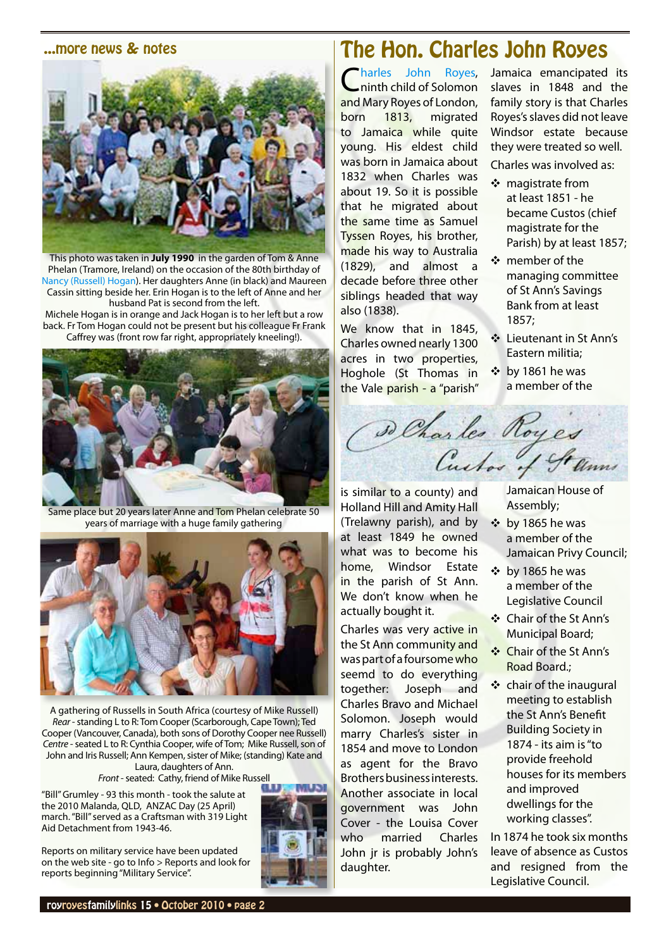#### <span id="page-1-0"></span>...more news & notes



This photo was taken in **July 1990** in the garden of Tom & Anne Phelan (Tramore, Ireland) on the occasion of the 80th birthday of [Nancy \(Russell\) Hogan\)](http://royroyes.net/genealogy/getperson.php?personID=I1083&tree=rr_tree). Her daughters Anne (in black) and Maureen Cassin sitting beside her. Erin Hogan is to the left of Anne and her husband Pat is second from the left.

Michele Hogan is in orange and Jack Hogan is to her left but a row back. Fr Tom Hogan could not be present but his colleague Fr Frank Caffrey was (front row far right, appropriately kneeling!).



Same place but 20 years later Anne and Tom Phelan celebrate 50 years of marriage with a huge family gathering



A gathering of Russells in South Africa (courtesy of Mike Russell) *Rear* - standing L to R: Tom Cooper (Scarborough, Cape Town); Ted Cooper (Vancouver, Canada), both sons of Dorothy Cooper nee Russell) *Centre* - seated L to R: Cynthia Cooper, wife of Tom; Mike Russell, son of John and Iris Russell; Ann Kempen, sister of Mike; (standing) Kate and Laura, daughters of Ann.

*Front* - seated: Cathy, friend of Mike Russell

"Bill" Grumley - 93 this month - took the salute at the 2010 Malanda, QLD, ANZAC Day (25 April) march. "Bill" served as a Craftsman with 319 Light Aid Detachment from 1943-46.

Reports on military service have been updated on the web site - go to Info > Reports and look for

reports beginning "Military Service".



## The Hon. Charles John Royes

Charles John Roves, ninth child of Solomon and Mary Royes of London, born 1813, migrated to Jamaica while quite young. His eldest child was born in Jamaica about 1832 when Charles was about 19. So it is possible that he migrated about the same time as Samuel Tyssen Royes, his brother, made his way to Australia (1829), and almost a decade before three other siblings headed that way also (1838).

We know that in 1845, Charles owned nearly 1300 acres in two properties, Hoghole (St Thomas in the Vale parish - a "parish" Jamaica emancipated its slaves in 1848 and the family story is that Charles Royes's slaves did not leave Windsor estate because they were treated so well. Charles was involved as:

- $\cdot \cdot$  magistrate from at least 1851 - he became Custos (chief magistrate for the Parish) by at least 1857;
- ❖ member of the managing committee of St Ann's Savings Bank from at least 1857;
- **❖** Lieutenant in St Ann's Eastern militia;
- $\cdot \cdot$  by 1861 he was a member of the



is similar to a county) and Holland Hill and Amity Hall (Trelawny parish), and by at least 1849 he owned what was to become his home, Windsor Estate in the parish of St Ann. We don't know when he actually bought it.

Charles was very active in the St Ann community and was part of a foursome who seemd to do everything together: Joseph and Charles Bravo and Michael Solomon. Joseph would marry Charles's sister in 1854 and move to London as agent for the Bravo Brothers business interests. Another associate in local government was John Cover - the Louisa Cover who married Charles John jr is probably John's daughter.

Jamaican House of Assembly;

- $\div$  by 1865 he was a member of the Jamaican Privy Council;
- $\div$  by 1865 he was a member of the Legislative Council
- ❖ Chair of the St Ann's Municipal Board;
- Y Chair of the St Ann's Road Board.;
- Y chair of the inaugural meeting to establish the St Ann's Benefit Building Society in 1874 - its aim is "to provide freehold houses for its members and improved dwellings for the working classes".

In 1874 he took six months leave of absence as Custos and resigned from the Legislative Council.

royroyesfamilylinks 15 • October 2010 • page 2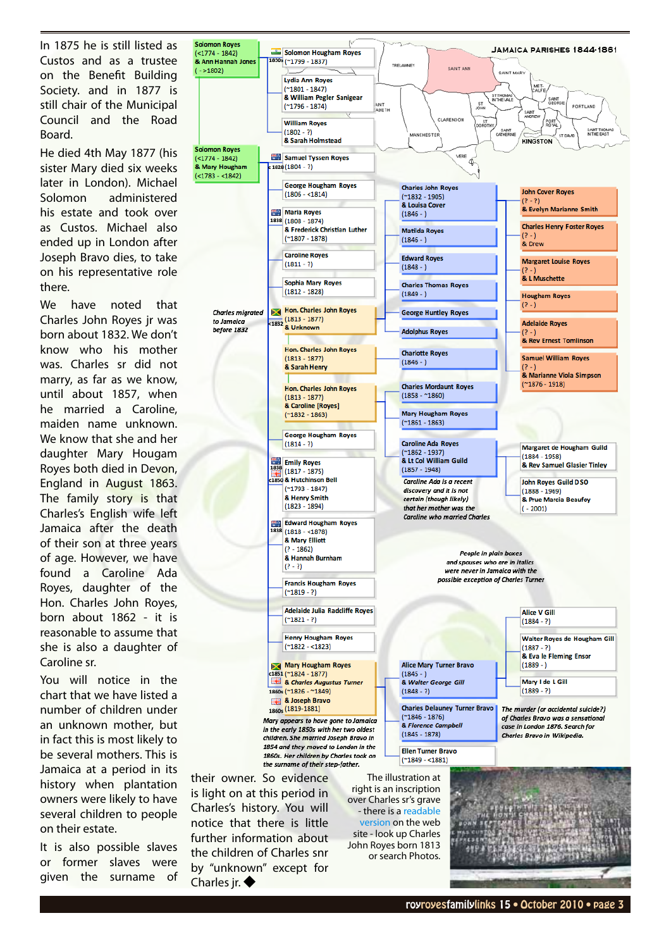In 1875 he is still listed as Custos and as a trustee on the Benefit Building Society. and in 1877 is still chair of the Municipal Council and the Road Board.

He died 4th May 1877 (his sister Mary died six weeks later in London). Michael Solomon administered his estate and took over as Custos. Michael also ended up in London after Joseph Bravo dies, to take on his representative role there.

We have noted that Charles John Royes jr was born about 1832. We don't know who his mother was. Charles sr did not marry, as far as we know, until about 1857, when he married a Caroline, maiden name unknown. We know that she and her daughter Mary Hougam Royes both died in Devon, England in August 1863. The family story is that Charles's English wife left Jamaica after the death of their son at three years of age. However, we have found a Caroline Ada Royes, daughter of the Hon. Charles John Royes, born about 1862 - it is reasonable to assume that she is also a daughter of Caroline sr.

You will notice in the chart that we have listed a number of children under an unknown mother, but in fact this is most likely to be several mothers. This is Jamaica at a period in its history when plantation owners were likely to have several children to people on their estate.

It is also possible slaves or former slaves were given the surname of



is light on at this period in Charles's history. You will notice that there is little further information about the children of Charles snr by "unknown" except for Charles ir. ◆

- there is a [readable](http://royroyes.net/genealogy/showmedia.php?mediaID=537&medialinkID=1493)  [version](http://royroyes.net/genealogy/showmedia.php?mediaID=537&medialinkID=1493) on the web site - look up Charles John Royes born 1813 or search Photos.